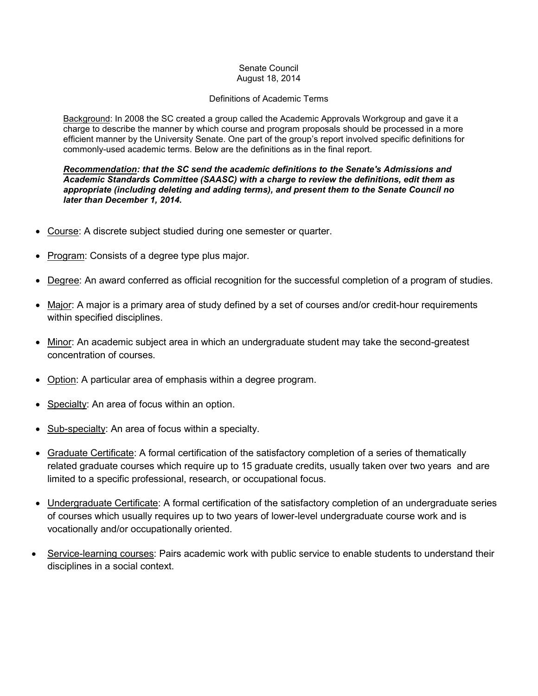## Senate Council August 18, 2014

## Definitions of Academic Terms

Background: In 2008 the SC created a group called the Academic Approvals Workgroup and gave it a charge to describe the manner by which course and program proposals should be processed in a more efficient manner by the University Senate. One part of the group's report involved specific definitions for commonly-used academic terms. Below are the definitions as in the final report.

*Recommendation: that the SC send the academic definitions to the Senate's Admissions and Academic Standards Committee (SAASC) with a charge to review the definitions, edit them as appropriate (including deleting and adding terms), and present them to the Senate Council no later than December 1, 2014.*

- Course: A discrete subject studied during one semester or quarter.
- Program: Consists of a degree type plus major.
- Degree: An award conferred as official recognition for the successful completion of a program of studies.
- Major: A major is a primary area of study defined by a set of courses and/or credit-hour requirements within specified disciplines.
- Minor: An academic subject area in which an undergraduate student may take the second-greatest concentration of courses.
- Option: A particular area of emphasis within a degree program.
- Specialty: An area of focus within an option.
- Sub-specialty: An area of focus within a specialty.
- Graduate Certificate: A formal certification of the satisfactory completion of a series of thematically related graduate courses which require up to 15 graduate credits, usually taken over two years and are limited to a specific professional, research, or occupational focus.
- Undergraduate Certificate: A formal certification of the satisfactory completion of an undergraduate series of courses which usually requires up to two years of lower-level undergraduate course work and is vocationally and/or occupationally oriented.
- Service-learning courses: Pairs academic work with public service to enable students to understand their disciplines in a social context.